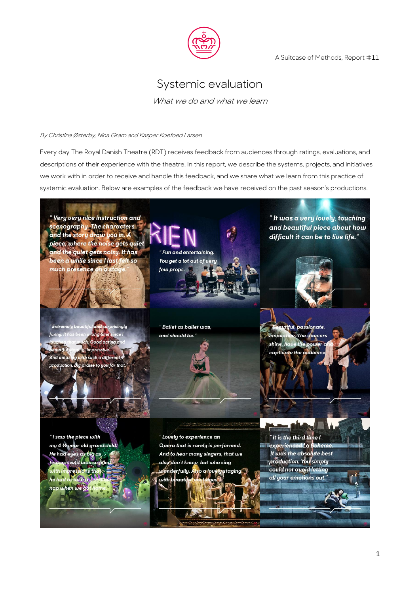

A Suitcase of Methods, Report #11

# Systemic evaluation

What we do and what we learn

#### By Christina Østerby, Nina Gram and Kasper Koefoed Larsen

Every day The Royal Danish Theatre (RDT) receives feedback from audiences through ratings, evaluations, and descriptions of their experience with the theatre. In this report, we describe the systems, projects, and initiatives we work with in order to receive and handle this feedback, and we share what we learn from this practice of systemic evaluation. Below are examples of the feedback we have received on the past season's productions.

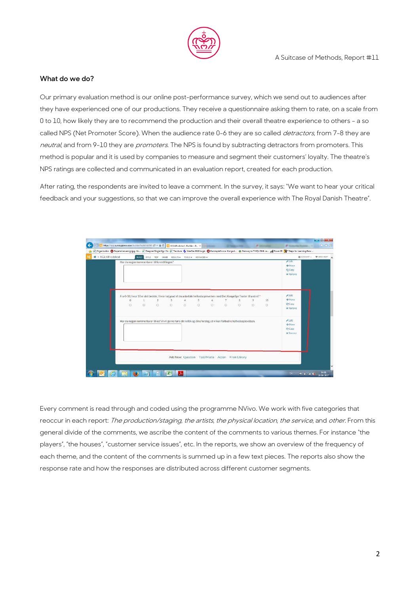

# **What do we do?**

Our primary evaluation method is our online post-performance survey, which we send out to audiences after they have experienced one of our productions. They receive a questionnaire asking them to rate, on a scale from 0 to 10, how likely they are to recommend the production and their overall theatre experience to others – a so called NPS (Net Promoter Score). When the audience rate 0-6 they are so called *detractors*, from 7-8 they are neutral, and from 9-10 they are promoters. The NPS is found by subtracting detractors from promoters. This method is popular and it is used by companies to measure and segment their customers' loyalty. The theatre's NPS ratings are collected and communicated in an evaluation report, created for each production.

After rating, the respondents are invited to leave a comment. In the survey, it says: "We want to hear your critical feedback and your suggestions, so that we can improve the overall experience with The Royal Danish Theatre".

| $P$ Edit<br>Fra 0-10, hvor 10 er det bedste, i hvor høj grad vil du anbefale helhedsoplevelsen med Det Kongelige Teater til andre?*<br>+ Move<br>$\overline{2}$<br>$\overline{4}$<br>5.<br>$\epsilon$<br>10 <sup>10</sup><br>$\overline{\mathbf{3}}$<br>$\overline{7}$<br>$\mathbf{B}$<br>$\Omega$<br>9<br><b>Copy</b><br>$\circ$<br>$\circ$<br>$\circ$<br>$\circ$<br>$\circ$<br>$\circ$<br>$\circ$<br>$\circ$<br>$\circ$<br>$\circ$<br>$\circ$<br><b>x</b> Remove<br>$E$ dit<br>Har du nogen kommentarer til os? Vi vil gerne høre din kritik og dine forslag, så vi kan forbedre helhedsoplevelsen.<br>$+$ Maye<br><b>ChCopy</b><br><b>x</b> Remove | > KGLtilfredshed | Har du nogen kommentarer til forestillingen? |  | BUILD STYLE TEST SHARE RESULTS = TOOLS = ADVANCED = |  |  |  | $F$ Edit<br><b>+Move</b><br><b>EBCopy</b><br><b>x</b> Remove | @ACCOUNT + WNEEDHELP? |  |
|-------------------------------------------------------------------------------------------------------------------------------------------------------------------------------------------------------------------------------------------------------------------------------------------------------------------------------------------------------------------------------------------------------------------------------------------------------------------------------------------------------------------------------------------------------------------------------------------------------------------------------------------------------|------------------|----------------------------------------------|--|-----------------------------------------------------|--|--|--|--------------------------------------------------------------|-----------------------|--|
|                                                                                                                                                                                                                                                                                                                                                                                                                                                                                                                                                                                                                                                       |                  |                                              |  |                                                     |  |  |  |                                                              |                       |  |
|                                                                                                                                                                                                                                                                                                                                                                                                                                                                                                                                                                                                                                                       |                  |                                              |  |                                                     |  |  |  |                                                              |                       |  |

Every comment is read through and coded using the programme NVivo. We work with five categories that reoccur in each report: The production/staging, the artists, the physical location, the service, and other. From this general divide of the comments, we ascribe the content of the comments to various themes. For instance "the players", "the houses", "customer service issues", etc. In the reports, we show an overview of the frequency of each theme, and the content of the comments is summed up in a few text pieces. The reports also show the response rate and how the responses are distributed across different customer segments.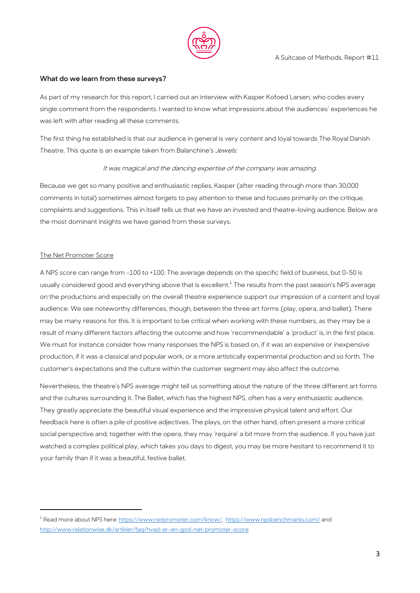

## **What do we learn from these surveys?**

As part of my research for this report, I carried out an interview with Kasper Kofoed Larsen, who codes every single comment from the respondents. I wanted to know what impressions about the audiences' experiences he was left with after reading all these comments.

The first thing he established is that our audience in general is very content and loyal towards The Royal Danish Theatre. This quote is an example taken from Balanchine's Jewels:

# It was magical and the dancing expertise of the company was amazing.

Because we get so many positive and enthusiastic replies, Kasper (after reading through more than 30,000 comments in total) sometimes almost forgets to pay attention to these and focuses primarily on the critique, complaints and suggestions. This in itself tells us that we have an invested and theatre-loving audience. Below are the most dominant insights we have gained from these surveys.

# The Net Promoter Score

**.** 

A NPS score can range from -100 to +100. The average depends on the specific field of business, but 0-50 is usually considered good and everything above that is excellent. $^{\rm l}$  The results from the past season's NPS average on the productions and especially on the overall theatre experience support our impression of a content and loyal audience. We see noteworthy differences, though, between the three art forms (play, opera, and ballet). There may be many reasons for this. It is important to be critical when working with these numbers, as they may be a result of many different factors affecting the outcome and how 'recommendable' a 'product' is, in the first place. We must for instance consider how many responses the NPS is based on, if it was an expensive or inexpensive production, if it was a classical and popular work, or a more artistically experimental production and so forth. The customer's expectations and the culture within the customer segment may also affect the outcome.

Nevertheless, the theatre's NPS average might tell us something about the nature of the three different art forms and the cultures surrounding it. The Ballet, which has the highest NPS, often has a very enthusiastic audience. They greatly appreciate the beautiful visual experience and the impressive physical talent and effort. Our feedback here is often a pile of positive adjectives. The plays, on the other hand, often present a more critical social perspective and, together with the opera, they may 'require' a bit more from the audience. If you have just watched a complex political play, which takes you days to digest, you may be more hesitant to recommend it to your family than if it was a beautiful, festive ballet.

<sup>&</sup>lt;sup>1</sup> Read more about NPS here[: https://www.netpromoter.com/know/,](https://www.netpromoter.com/know/) <https://www.npsbenchmarks.com/> and <http://www.relationwise.dk/artikler/faq/hvad-er-en-god-net-promoter-score>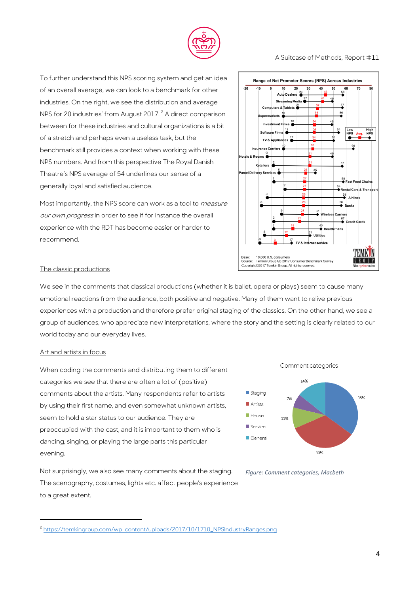

#### A Suitcase of Methods, Report #11

To further understand this NPS scoring system and get an idea of an overall average, we can look to a benchmark for other industries. On the right, we see the distribution and average NPS for 20 industries' from August 2017.<sup>2</sup> A direct comparison between for these industries and cultural organizations is a bit of a stretch and perhaps even a useless task, but the benchmark still provides a context when working with these NPS numbers. And from this perspective The Royal Danish Theatre's NPS average of 54 underlines our sense of a generally loyal and satisfied audience.

Most importantly, the NPS score can work as a tool to *measure* our own progress in order to see if for instance the overall experience with the RDT has become easier or harder to recommend.



#### The classic productions

We see in the comments that classical productions (whether it is ballet, opera or plays) seem to cause many emotional reactions from the audience, both positive and negative. Many of them want to relive previous experiences with a production and therefore prefer original staging of the classics. On the other hand, we see a group of audiences, who appreciate new interpretations, where the story and the setting is clearly related to our world today and our everyday lives.

#### Art and artists in focus

1

When coding the comments and distributing them to different categories we see that there are often a lot of (positive) comments about the artists. Many respondents refer to artists by using their first name, and even somewhat unknown artists, seem to hold a star status to our audience. They are preoccupied with the cast, and it is important to them who is dancing, singing, or playing the large parts this particular evening.

Not surprisingly, we also see many comments about the staging. The scenography, costumes, lights etc. affect people's experience to a great extent.





*Figure: Comment categories, Macbeth*

<sup>&</sup>lt;sup>2</sup> [https://temkingroup.com/wp-content/uploads/2017/10/1710\\_NPSIndustryRanges.png](https://temkingroup.com/wp-content/uploads/2017/10/1710_NPSIndustryRanges.png)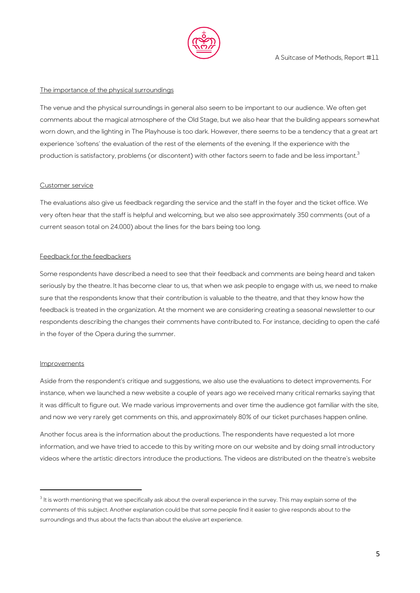

## The importance of the physical surroundings

The venue and the physical surroundings in general also seem to be important to our audience. We often get comments about the magical atmosphere of the Old Stage, but we also hear that the building appears somewhat worn down, and the lighting in The Playhouse is too dark. However, there seems to be a tendency that a great art experience 'softens' the evaluation of the rest of the elements of the evening. If the experience with the production is satisfactory, problems (or discontent) with other factors seem to fade and be less important.<sup>3</sup>

## Customer service

The evaluations also give us feedback regarding the service and the staff in the foyer and the ticket office. We very often hear that the staff is helpful and welcoming, but we also see approximately 350 comments (out of a current season total on 24.000) about the lines for the bars being too long.

## Feedback for the feedbackers

Some respondents have described a need to see that their feedback and comments are being heard and taken seriously by the theatre. It has become clear to us, that when we ask people to engage with us, we need to make sure that the respondents know that their contribution is valuable to the theatre, and that they know how the feedback is treated in the organization. At the moment we are considering creating a seasonal newsletter to our respondents describing the changes their comments have contributed to. For instance, deciding to open the café in the foyer of the Opera during the summer.

#### Improvements

1

Aside from the respondent's critique and suggestions, we also use the evaluations to detect improvements. For instance, when we launched a new website a couple of years ago we received many critical remarks saying that it was difficult to figure out. We made various improvements and over time the audience got familiar with the site, and now we very rarely get comments on this, and approximately 80% of our ticket purchases happen online.

Another focus area is the information about the productions. The respondents have requested a lot more information, and we have tried to accede to this by writing more on our website and by doing small introductory videos where the artistic directors introduce the productions. The videos are distributed on the theatre's website

<sup>&</sup>lt;sup>3</sup> It is worth mentioning that we specifically ask about the overall experience in the survey. This may explain some of the comments of this subject. Another explanation could be that some people find it easier to give responds about to the surroundings and thus about the facts than about the elusive art experience.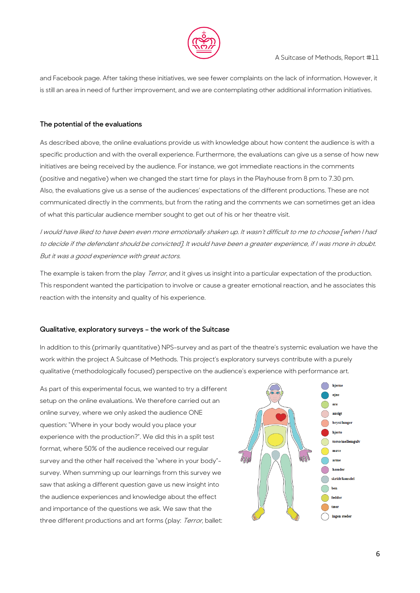

and Facebook page. After taking these initiatives, we see fewer complaints on the lack of information. However, it is still an area in need of further improvement, and we are contemplating other additional information initiatives.

# **The potential of the evaluations**

As described above, the online evaluations provide us with knowledge about how content the audience is with a specific production and with the overall experience. Furthermore, the evaluations can give us a sense of how new initiatives are being received by the audience. For instance, we got immediate reactions in the comments (positive and negative) when we changed the start time for plays in the Playhouse from 8 pm to 7.30 pm. Also, the evaluations give us a sense of the audiences' expectations of the different productions. These are not communicated directly in the comments, but from the rating and the comments we can sometimes get an idea of what this particular audience member sought to get out of his or her theatre visit.

I would have liked to have been even more emotionally shaken up. It wasn't difficult to me to choose [when I had to decide if the defendant should be convicted]. It would have been a greater experience, if I was more in doubt. But it was a good experience with great actors.

The example is taken from the play *Terror*, and it gives us insight into a particular expectation of the production. This respondent wanted the participation to involve or cause a greater emotional reaction, and he associates this reaction with the intensity and quality of his experience.

# **Qualitative, exploratory surveys – the work of the Suitcase**

In addition to this (primarily quantitative) NPS-survey and as part of the theatre's systemic evaluation we have the work within the project A Suitcase of Methods. This project's exploratory surveys contribute with a purely qualitative (methodologically focused) perspective on the audience's experience with performance art.

As part of this experimental focus, we wanted to try a different setup on the online evaluations. We therefore carried out an online survey, where we only asked the audience ONE question: "Where in your body would you place your experience with the production?". We did this in a split test format, where 50% of the audience received our regular survey and the other half received the "where in your body" survey. When summing up our learnings from this survey we saw that asking a different question gave us new insight into the audience experiences and knowledge about the effect and importance of the questions we ask. We saw that the three different productions and art forms (play: Terror, ballet:

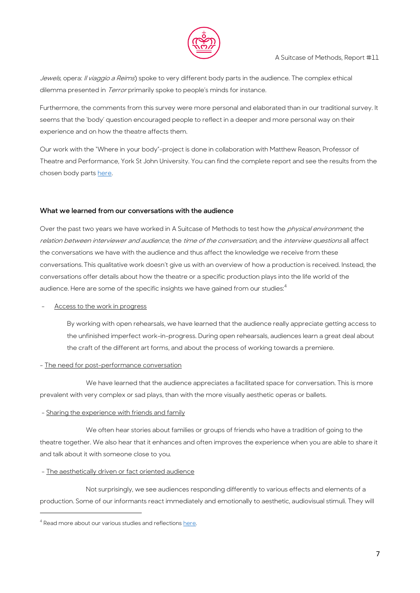

Jewels, opera: Il viaggio a Reims) spoke to very different body parts in the audience. The complex ethical dilemma presented in *Terror* primarily spoke to people's minds for instance.

Furthermore, the comments from this survey were more personal and elaborated than in our traditional survey. It seems that the 'body' question encouraged people to reflect in a deeper and more personal way on their experience and on how the theatre affects them.

Our work with the "Where in your body"-project is done in collaboration with Matthew Reason, Professor of Theatre and Performance, York St John University. You can find the complete report and see the results from the chosen body parts [here.](https://asuitcaseofmethods.files.wordpress.com/2017/07/report-10.pdf)

## **What we learned from our conversations with the audience**

Over the past two years we have worked in A Suitcase of Methods to test how the *physical environment*, the relation between interviewer and audience, the time of the conversation, and the interview questions all affect the conversations we have with the audience and thus affect the knowledge we receive from these conversations. This qualitative work doesn't give us with an overview of how a production is received. Instead, the conversations offer details about how the theatre or a specific production plays into the life world of the audience. Here are some of the specific insights we have gained from our studies:<sup>4</sup>

## Access to the work in progress

By working with open rehearsals, we have learned that the audience really appreciate getting access to the unfinished imperfect work-in-progress. During open rehearsals, audiences learn a great deal about the craft of the different art forms, and about the process of working towards a premiere.

# - The need for post-performance conversation

We have learned that the audience appreciates a facilitated space for conversation. This is more prevalent with very complex or sad plays, than with the more visually aesthetic operas or ballets.

# - Sharing the experience with friends and family

We often hear stories about families or groups of friends who have a tradition of going to the theatre together. We also hear that it enhances and often improves the experience when you are able to share it and talk about it with someone close to you.

#### - The aesthetically driven or fact oriented audience

Not surprisingly, we see audiences responding differently to various effects and elements of a production. Some of our informants react immediately and emotionally to aesthetic, audiovisual stimuli. They will

**.** 

<sup>&</sup>lt;sup>4</sup> Read more about our various studies and reflections [here.](https://asuitcaseofmethods.com/reports-and-publications/)